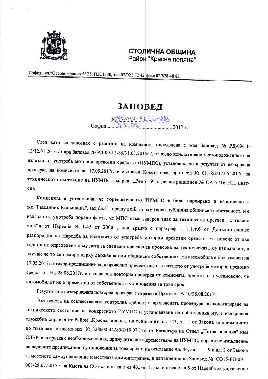

## СТОЛИЧНА ОБЩИНА Район "Красна поляна"

София, ул. "Освобождение" N 25, П.К.1330, тел.02/921 72 42 факс 02/828 48 83

## **ЗАПОВЕД**

NOPLAIT-PAS6-213 София 31. Об. 1. 2017 г.

След като се запознах с работата на комисията, определена с моя Заповед № РД-09-11-13/12.01.2016 /стара Заповед № РД-09-11-86/31.03.2015г./, относно констатиране местоположението на излезли от употреба моторни превозни средства (ИУМПС), установих, че в резултат от извършена проверка на комисията на 17.05.2017г. е съставен Констативен протокол № 011652/17.05.2017г. за техническото състояние на ИУМПС - марка "Рено 19" с регистрационен № СА 7716 НН, цвятсив.

Комисията е установила, че горепосоченото ИУМПС е било паркирано и изоставено в жк. "Разсадник-Коньовица", зад бл.31, срещу вх.Б, върху терен публична общинска собственост, и е излязло от употреба поради факта, че МПС няма заверен знак за технически преглед, съгласно чл.32д от Наредба № 1-45 от 2000г., във връзка с параграф 1, т.1,т.б от Допълнителните разпоредби на Наредба за излезлите от употреба моторни превозни средства за повече от две години от определената му дата за следващ преглед за проверка на техническата му изправност, в случай че то се намира върху държавна или общинска собственост. На автомобила е бил залепен на 17.05.2017г. стикер-предписание за доброволно преместване на излязлото от употреба моторно превозно средство. На 28.08.2017г. е извършена повторна проверка от комисията, при която е установено, че автомобилът не е преместен от собственика в установения за това срок.

Резултатът от извършената повторна проверка е отразен в Протокол № 10/28.08.2017г.

Въз основа на осъществената контролна дейност в проведената процедура по констатиране на техническото състояние на конкретното ИУМПС и установяване на собственика му, е извършена служебна справка от Район "Красна поляна,, на основание чл. 143, ал. 1 от Закона за движението по пътищата с писмо изх. № 328600-44280/2/19.07.17г. от Регистъра на Отдел "Пътна полиция" към СДВР, във връзка с необходимостта от принудителното преместване на ИУМПС, поради не изпълнение на дадените предписания в установения за това срок и на основание чл. 44, ал. 1, т. 9 и ал. 2 от Закона за местното самоуправление и местната администрация, в изпълнение на Заповед № СО15-РД-09-961/28.07.2015г. на Кмета на СО във връзка с чл.46., ал. 1, във връзка с ал.5 от Наредба за управление